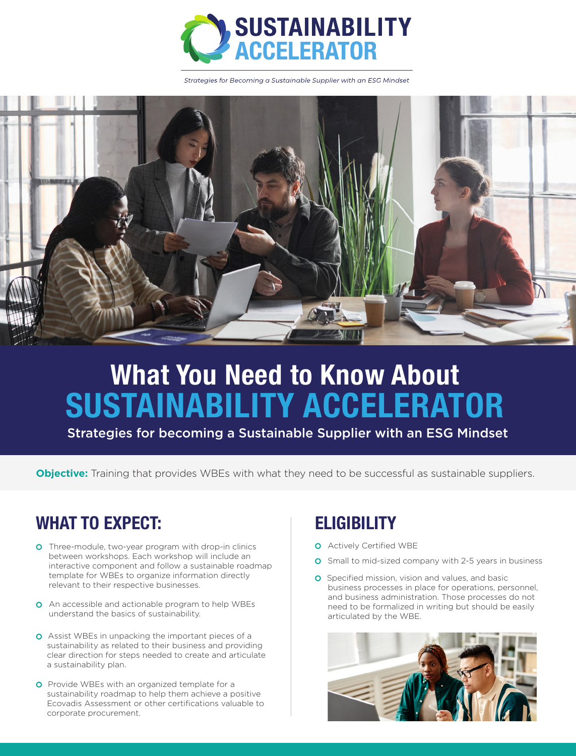

Strategies for Becoming a Sustainable Supplier with an ESG Mindset



# **What You Need to Know About SUSTAINABILITY ACCELERATOR**

Strategies for becoming a Sustainable Supplier with an ESG Mindset

**Objective:** Training that provides WBEs with what they need to be successful as sustainable suppliers.

# **WHAT TO EXPECT: ELIGIBILITY**

- **O** Three-module, two-year program with drop-in clinics between workshops. Each workshop will include an interactive component and follow a sustainable roadmap template for WBEs to organize information directly relevant to their respective businesses.
- **O** An accessible and actionable program to help WBEs understand the basics of sustainability.
- **O** Assist WBEs in unpacking the important pieces of a sustainability as related to their business and providing clear direction for steps needed to create and articulate a sustainability plan.
- **O** Provide WBEs with an organized template for a sustainability roadmap to help them achieve a positive Ecovadis Assessment or other certifications valuable to corporate procurement.

- **O** Actively Certified WBE
- **O** Small to mid-sized company with 2-5 years in business
- **O** Specified mission, vision and values, and basic business processes in place for operations, personnel, and business administration. Those processes do not need to be formalized in writing but should be easily articulated by the WBE.